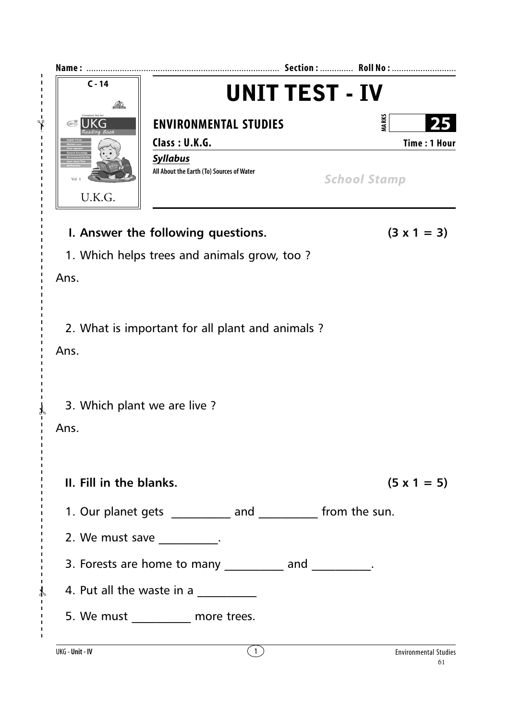| $C - 14$                                                     | UNIT TEST - IV                                               |                                     |
|--------------------------------------------------------------|--------------------------------------------------------------|-------------------------------------|
| (LOTUS)                                                      | <b>ENVIRONMENTAL STUDIES</b><br>Class: U.K.G.                | <b>MARKS</b><br><b>Time: 1 Hour</b> |
| U.K.G.                                                       | <b>Syllabus</b><br>All About the Earth (To) Sources of Water | <b>School Stamp</b>                 |
|                                                              | I. Answer the following questions.                           | $(3 \times 1 = 3)$                  |
|                                                              | 1. Which helps trees and animals grow, too?                  |                                     |
| Ans.                                                         |                                                              |                                     |
| Ans.                                                         | 2. What is important for all plant and animals?              |                                     |
| 3. Which plant we are live?                                  |                                                              |                                     |
| Ans.                                                         |                                                              |                                     |
| II. Fill in the blanks.                                      |                                                              | $(5 \times 1 = 5)$                  |
| 1. Our planet gets ___________ and ___________ from the sun. |                                                              |                                     |
|                                                              | 2. We must save $\frac{1}{2}$ .                              |                                     |
|                                                              | 3. Forests are home to many ___________ and __________.      |                                     |
|                                                              | 4. Put all the waste in a $\frac{1}{\sqrt{1-\frac{1}{2}}}\$  |                                     |
|                                                              | 5. We must ___________ more trees.                           |                                     |
| UKG - Unit - IV                                              | (1)                                                          | <b>Environmental Studies</b>        |

 $\frac{1}{2}$ 

 $\lambda$